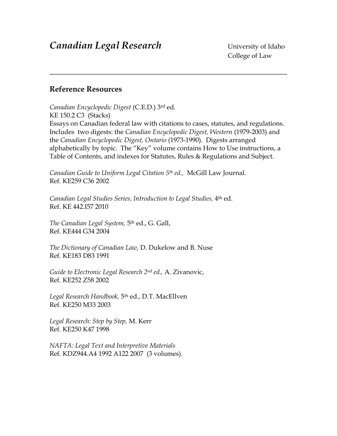# **Reference Resources**

*Canadian Encyclopedic Digest* (C.E.D.) 3rd ed. KE 150.2 C3 (Stacks) Essays on Canadian federal law with citations to cases, statutes, and regulations. Includes two digests: the *Canadian Encyclopedic Digest, Western* (1979-2003) and the *Canadian Encyclopedic Digest, Ontario* (1973-1990)*.* Digests arranged alphabetically by topic. The "Key" volume contains How to Use instructions, a Table of Contents, and indexes for Statutes, Rules & Regulations and Subject.

*Canadian Guide to Uniform Legal Citation 5th ed.,* McGill Law Journal. Ref. KE259 C36 2002

*Canadian Legal Studies Series, Introduction to Legal Studies,* 4th ed. Ref. KE 442.I57 2010

*The Canadian Legal System,* 5th ed., G. Gall, Ref. KE444 G34 2004

*The Dictionary of Canadian Law,* D. Dukelow and B. Nuse Ref. KE183 D83 1991

*Guide to Electronic Legal Research 2nd ed.,* A. Zivanovic, Ref. KE252 Z58 2002

*Legal Research Handbook,* 5th ed., D.T. MacEllven Ref. KE250 M33 2003

*Legal Research: Step by Step,* M. Kerr Ref. KE250 K47 1998

*NAFTA: Legal Text and Interpretive Materials* Ref. KDZ944.A4 1992 A122 2007 (3 volumes).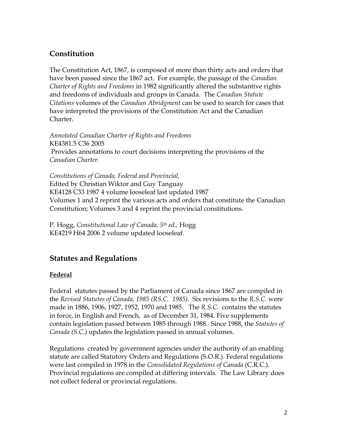# **Constitution**

The Constitution Act, 1867, is composed of more than thirty acts and orders that have been passed since the 1867 act. For example, the passage of the *Canadian Charter of Rights and Freedoms* in 1982 significantly altered the substantive rights and freedoms of individuals and groups in Canada. The *Canadian Statute Citations* volumes of the *Canadian Abridgment* can be used to search for cases that have interpreted the provisions of the Constitution Act and the Canadian Charter.

*Annotated Canadian Charter of Rights and Freedoms*  KE4381.5 C36 2005 Provides annotations to court decisions interpreting the provisions of the *Canadian Charter.*

*Constitutions of Canada, Federal and Provincial,*  Edited by Christian Wiktor and Guy Tanguay KE4128 C33 1987 4 volume looseleaf last updated 1987 Volumes 1 and 2 reprint the various acts and orders that constitute the Canadian Constitution; Volumes 3 and 4 reprint the provincial constitutions.

P. Hogg, *Constitutional Law of Canada, 5th ed.,* Hogg KE4219 H64 2006 2 volume updated looseleaf.

# **Statutes and Regulations**

# **Federal**

Federal statutes passed by the Parliament of Canada since 1867 are compiled in the *Revised Statutes of Canada, 1985 (RS.C. 1985)*. Six revisions to the *R.S.C.* were made in 1886, 1906, 1927, 1952, 1970 and 1985. The *R.S.C.* contains the statutes in force, in English and French, as of December 31, 1984. Five supplements contain legislation passed between 1985 through 1988. Since 1988, the *Statutes of Canada (S.C.)* updates the legislation passed in annual volumes.

Regulations created by government agencies under the authority of an enabling statute are called Statutory Orders and Regulations (S.O.R.). Federal regulations were last compiled in 1978 in the *Consolidated Regulations of Canada* (C.R.C.). Provincial regulations are compiled at differing intervals. The Law Library does not collect federal or provincial regulations.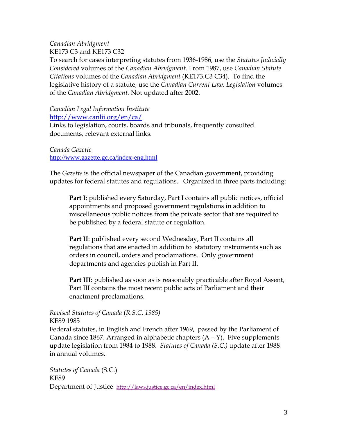## *Canadian Abridgment* KE173 C3 and KE173 C32

To search for cases interpreting statutes from 1936-1986, use the *Statutes Judicially Considered* volumes of the *Canadian Abridgment.* From 1987, use *Canadian Statute Citations* volumes of the *Canadian Abridgment* (KE173.C3 C34). To find the legislative history of a statute, use the *Canadian Current Law: Legislation* volumes of the *Canadian Abridgment.* Not updated after 2002.

#### *Canadian Legal Information Institute* <http://www.canlii.org/en/ca/>

Links to legislation, courts, boards and tribunals, frequently consulted documents, relevant external links.

*Canada Gazette* <http://www.gazette.gc.ca/index-eng.html>

The *Gazette* is the official newspaper of the Canadian government, providing updates for federal statutes and regulations. Organized in three parts including:

**Part I**: published every Saturday, Part I contains all public notices, official appointments and proposed government regulations in addition to miscellaneous public notices from the private sector that are required to be published by a federal statute or regulation.

Part II: published every second Wednesday, Part II contains all regulations that are enacted in addition to statutory instruments such as orders in council, orders and proclamations. Only government departments and agencies publish in Part II.

**Part III**: published as soon as is reasonably practicable after Royal Assent, Part III contains the most recent public acts of Parliament and their enactment proclamations.

*Revised Statutes of Canada* (*R.S.C. 1985)*

KE89 1985

Federal statutes, in English and French after 1969, passed by the Parliament of Canada since 1867. Arranged in alphabetic chapters (A – Y). Five supplements update legislation from 1984 to 1988. *Statutes of Canada (S.C.)* update after 1988 in annual volumes.

*Statutes of Canada* (S.C.) KE89 Department of Justice <http://laws.justice.gc.ca/en/index.html>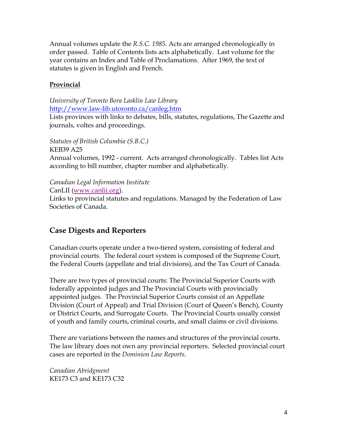Annual volumes update the *R.S.C. 1985.* Acts are arranged chronologically in order passed. Table of Contents lists acts alphabetically. Last volume for the year contains an Index and Table of Proclamations. After 1969, the text of statutes is given in English and French.

# **Provincial**

*University of Toronto Bora Lasklin Law Library* <http://www.law-lib.utoronto.ca/canleg.htm>

Lists provinces with links to debates, bills, statutes, regulations, The Gazette and journals, voltes and proceedings.

*Statutes of British Columbia (S.B.C.)* KEB39 A25 Annual volumes, 1992 - current. Acts arranged chronologically. Tables list Acts according to bill number, chapter number and alphabetically.

*Canadian Legal Information Institute*

CanLII [\(www.canlii.org\)](http://www.canlii.org/).

Links to provincial statutes and regulations. Managed by the Federation of Law Societies of Canada.

# **Case Digests and Reporters**

Canadian courts operate under a two-tiered system, consisting of federal and provincial courts. The federal court system is composed of the Supreme Court, the Federal Courts (appellate and trial divisions), and the Tax Court of Canada.

There are two types of provincial courts: The Provincial Superior Courts with federally appointed judges and The Provincial Courts with provincially appointed judges. The Provincial Superior Courts consist of an Appellate Division (Court of Appeal) and Trial Division (Court of Queen's Bench), County or District Courts, and Surrogate Courts. The Provincial Courts usually consist of youth and family courts, criminal courts, and small claims or civil divisions.

There are variations between the names and structures of the provincial courts. The law library does not own any provincial reporters. Selected provincial court cases are reported in the *Dominion Law Reports*.

*Canadian Abridgment* KE173 C3 and KE173 C32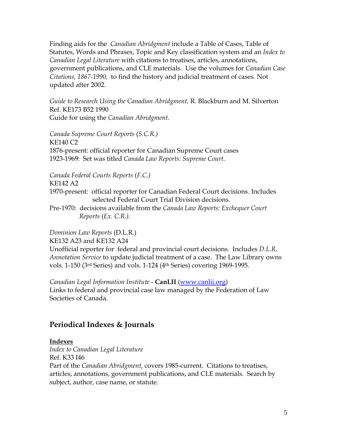Finding aids for the *Canadian Abridgment* include a Table of Cases, Table of Statutes, Words and Phrases, Topic and Key classification system and an *Index to Canadian Legal Literature* with citations to treatises, articles, annotations, government publications, and CLE materials. Use the volumes for *Canadian Case Citations, 1867-1990,* to find the history and judicial treatment of cases. Not updated after 2002.

*Guide to Research Using the Canadian Abridgment,* R. Blackburn and M. Silverton Ref. KE173 B52 1990 Guide for using the *Canadian Abridgment.*

*Canada Supreme Court Reports* (*S.C.R.)* KE140 C2 1876-present: official reporter for Canadian Supreme Court cases 1923-1969: Set was titled *Canada Law Reports: Supreme Court*.

*Canada Federal Courts Reports* (*F.C.)*

KE142 A2

1970-present: official reporter for Canadian Federal Court decisions. Includes selected Federal Court Trial Division decisions.

Pre-1970: decisions available from the *Canada Law Reports: Exchequer Court Reports* (*Ex. C.R.).*

*Dominion Law Reports* (D.L.R.) KE132 A23 and KE132 A24 Unofficial reporter for federal and provincial court decisions. Includes *D.L.R. Annotation Service* to update judicial treatment of a case. The Law Library owns vols. 1-150 (3rd Series) and vols. 1-124 (4th Series) covering 1969-1995.

*Canadian Legal Information Institute* - **CanLII** [\(www.canlii.org\)](http://www.canlii.org/) Links to federal and provincial case law managed by the Federation of Law Societies of Canada.

# **Periodical Indexes & Journals**

## **Indexes**

*Index to Canadian Legal Literature* Ref. K33 I46 Part of the *Canadian Abridgment,* covers 1985-current. Citations to treatises, articles, annotations, government publications, and CLE materials. Search by subject, author, case name, or statute.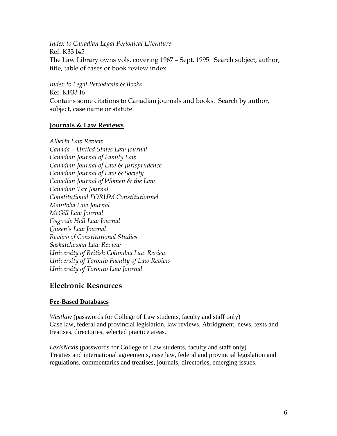*Index to Canadian Legal Periodical Literature*

Ref. K33 I45 The Law Library owns vols. covering 1967 – Sept. 1995. Search subject, author, title, table of cases or book review index.

*Index to Legal Periodicals & Books* Ref. KF33 I6

Contains some citations to Canadian journals and books. Search by author, subject, case name or statute.

### **Journals & Law Reviews**

*Alberta Law Review Canada – United States Law Journal Canadian Journal of Family Law Canadian Journal of Law & Jurisprudence Canadian Journal of Law & Society Canadian Journal of Women & the Law Canadian Tax Journal Constitutional FORUM Constitutionnel Manitoba Law Journal McGill Law Journal Osgoode Hall Law Journal Queen's Law Journal Review of Constitutional Studies Saskatchewan Law Review University of British Columbia Law Review University of Toronto Faculty of Law Review University of Toronto Law Journal*

# **Electronic Resources**

## **Fee-Based Databases**

*Westlaw* (passwords for College of Law students, faculty and staff only) Case law, federal and provincial legislation, law reviews, Abridgment, news, texts and treatises, directories, selected practice areas.

*LexisNexis* (passwords for College of Law students, faculty and staff only) Treaties and international agreements, case law, federal and provincial legislation and regulations, commentaries and treatises, journals, directories, emerging issues.